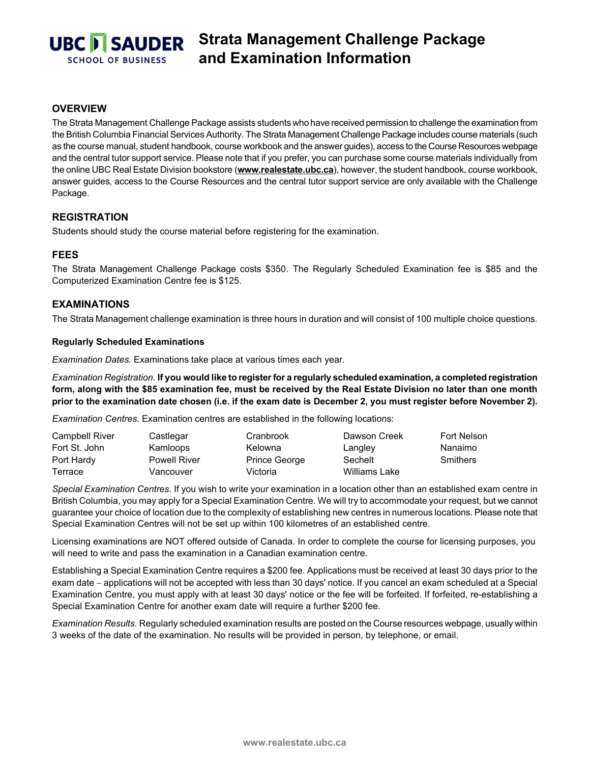

# **Strata Management Challenge Package and Examination Information**

## **OVERVIEW**

The Strata Management Challenge Package assists students who have received permission to challenge the examination from the British Columbia Financial Services Authority. The Strata Management Challenge Package includes course materials (such as the course manual, student handbook, course workbook and the answer guides), access to the Course Resources webpage and the central tutor support service. Please note that if you prefer, you can purchase some course materials individually from the online UBC Real Estate Division bookstore (**[www.realestate.ubc.ca](https://secure.sauder.ubc.ca/re_licensing/BookstoreWPG/)**), however, the student handbook, course workbook, answer guides, access to the Course Resources and the central tutor support service are only available with the Challenge Package.

## **REGISTRATION**

Students should study the course material before registering for the examination.

### **FEES**

The Strata Management Challenge Package costs \$350. The Regularly Scheduled Examination fee is \$85 and the Computerized Examination Centre fee is \$125.

### **EXAMINATIONS**

The Strata Management challenge examination is three hours in duration and will consist of 100 multiple choice questions.

#### **Regularly Scheduled Examinations**

*Examination Dates.* Examinations take place at various times each year.

*Examination Registration.* **If you would like to register for a regularly scheduled examination, a completed registration form, along with the \$85 examination fee, must be received by the Real Estate Division no later than one month prior to the examination date chosen (i.e. if the exam date is December 2, you must register before November 2).**

*Examination Centres*. Examination centres are established in the following locations:

| Campbell River | Castlegar           | Cranbrook     | Dawson Creek  | Fort Nelson     |
|----------------|---------------------|---------------|---------------|-----------------|
| Fort St. John  | Kamloops            | Kelowna       | Langley       | Nanaimo         |
| Port Hardy     | <b>Powell River</b> | Prince George | Sechelt       | <b>Smithers</b> |
| Terrace        | Vancouver           | Victoria      | Williams Lake |                 |

*Special Examination Centres*. If you wish to write your examination in a location other than an established exam centre in British Columbia, you may apply for a Special Examination Centre. We will try to accommodate your request, but we cannot guarantee your choice of location due to the complexity of establishing new centres in numerous locations. Please note that Special Examination Centres will not be set up within 100 kilometres of an established centre.

Licensing examinations are NOT offered outside of Canada. In order to complete the course for licensing purposes, you will need to write and pass the examination in a Canadian examination centre.

Establishing a Special Examination Centre requires a \$200 fee. Applications must be received at least 30 days prior to the exam date − applications will not be accepted with less than 30 days' notice. If you cancel an exam scheduled at a Special Examination Centre, you must apply with at least 30 days' notice or the fee will be forfeited. If forfeited, re-establishing a Special Examination Centre for another exam date will require a further \$200 fee.

*Examination Results.* Regularly scheduled examination results are posted on the Course resources webpage, usually within 3 weeks of the date of the examination. No results will be provided in person, by telephone, or email.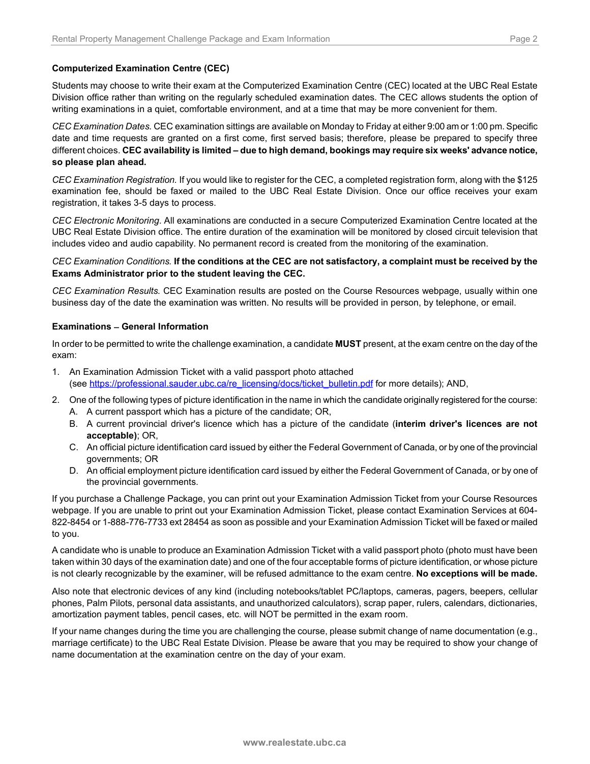### **Computerized Examination Centre (CEC)**

Students may choose to write their exam at the Computerized Examination Centre (CEC) located at the UBC Real Estate Division office rather than writing on the regularly scheduled examination dates. The CEC allows students the option of writing examinations in a quiet, comfortable environment, and at a time that may be more convenient for them.

*CEC Examination Dates.* CEC examination sittings are available on Monday to Friday at either 9:00 am or 1:00 pm. Specific date and time requests are granted on a first come, first served basis; therefore, please be prepared to specify three different choices. **CEC availability is limited – due to high demand, bookings may require six weeks' advance notice, so please plan ahead.**

*CEC Examination Registration.* If you would like to register for the CEC, a completed registration form, along with the \$125 examination fee, should be faxed or mailed to the UBC Real Estate Division. Once our office receives your exam registration, it takes 3-5 days to process.

*CEC Electronic Monitoring*. All examinations are conducted in a secure Computerized Examination Centre located at the UBC Real Estate Division office. The entire duration of the examination will be monitored by closed circuit television that includes video and audio capability. No permanent record is created from the monitoring of the examination.

#### *CEC Examination Conditions.* **If the conditions at the CEC are not satisfactory, a complaint must be received by the Exams Administrator prior to the student leaving the CEC.**

*CEC Examination Results.* CEC Examination results are posted on the Course Resources webpage, usually within one business day of the date the examination was written. No results will be provided in person, by telephone, or email.

#### **Examinations** − **General Information**

In order to be permitted to write the challenge examination, a candidate **MUST** present, at the exam centre on the day of the exam:

- 1. An Examination Admission Ticket with a valid passport photo attached (see [https://professional.sauder.ubc.ca/re\\_licensing/docs/ticket\\_bulletin.pdf](https://professional.sauder.ubc.ca/re_licensing/docs/ticket_bulletin.pdf) for more details); AND,
- 2. One of the following types of picture identification in the name in which the candidate originally registered for the course: A. A current passport which has a picture of the candidate; OR,
	- B. A current provincial driver's licence which has a picture of the candidate (**interim driver's licences are not acceptable)**; OR,
	- C. An official picture identification card issued by either the Federal Government of Canada, or by one of the provincial governments; OR
	- D. An official employment picture identification card issued by either the Federal Government of Canada, or by one of the provincial governments.

If you purchase a Challenge Package, you can print out your Examination Admission Ticket from your Course Resources webpage. If you are unable to print out your Examination Admission Ticket, please contact Examination Services at 604- 822-8454 or 1-888-776-7733 ext 28454 as soon as possible and your Examination Admission Ticket will be faxed or mailed to you.

A candidate who is unable to produce an Examination Admission Ticket with a valid passport photo (photo must have been taken within 30 days of the examination date) and one of the four acceptable forms of picture identification, or whose picture is not clearly recognizable by the examiner, will be refused admittance to the exam centre. **No exceptions will be made.**

Also note that electronic devices of any kind (including notebooks/tablet PC/laptops, cameras, pagers, beepers, cellular phones, Palm Pilots, personal data assistants, and unauthorized calculators), scrap paper, rulers, calendars, dictionaries, amortization payment tables, pencil cases, etc. will NOT be permitted in the exam room.

If your name changes during the time you are challenging the course, please submit change of name documentation (e.g., marriage certificate) to the UBC Real Estate Division. Please be aware that you may be required to show your change of name documentation at the examination centre on the day of your exam.